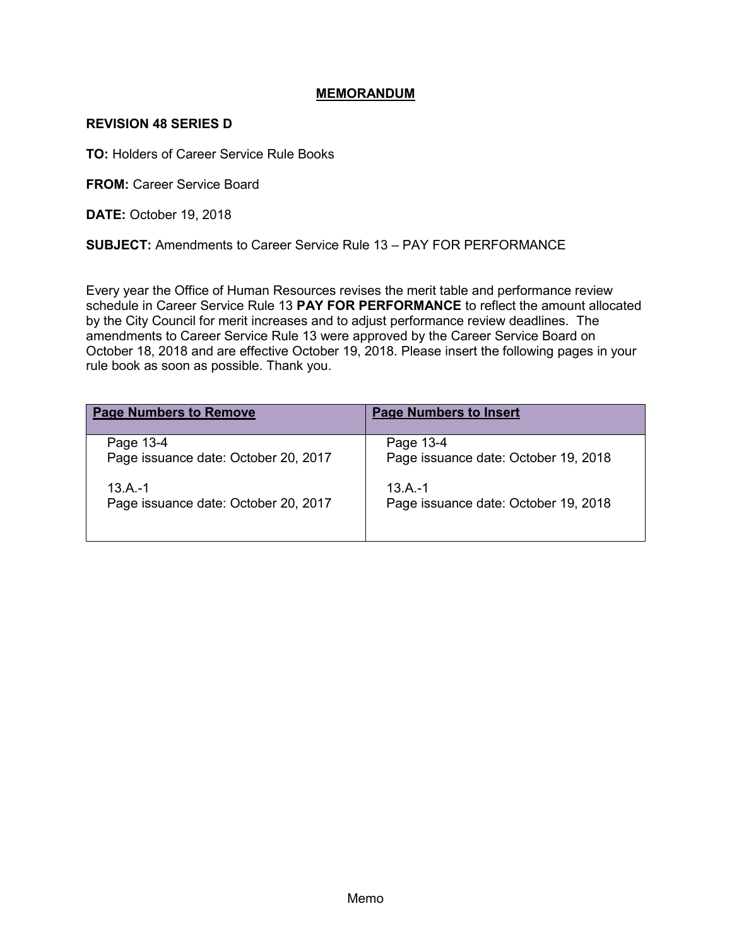#### **MEMORANDUM**

#### **REVISION 48 SERIES D**

**TO:** Holders of Career Service Rule Books

**FROM:** Career Service Board

**DATE:** October 19, 2018

**SUBJECT:** Amendments to Career Service Rule 13 – PAY FOR PERFORMANCE

Every year the Office of Human Resources revises the merit table and performance review schedule in Career Service Rule 13 **PAY FOR PERFORMANCE** to reflect the amount allocated by the City Council for merit increases and to adjust performance review deadlines. The amendments to Career Service Rule 13 were approved by the Career Service Board on October 18, 2018 and are effective October 19, 2018. Please insert the following pages in your rule book as soon as possible. Thank you.

| <b>Page Numbers to Remove</b>        | <b>Page Numbers to Insert</b>        |
|--------------------------------------|--------------------------------------|
| Page 13-4                            | Page 13-4                            |
| Page issuance date: October 20, 2017 | Page issuance date: October 19, 2018 |
| $13A - 1$                            | $13A - 1$                            |
| Page issuance date: October 20, 2017 | Page issuance date: October 19, 2018 |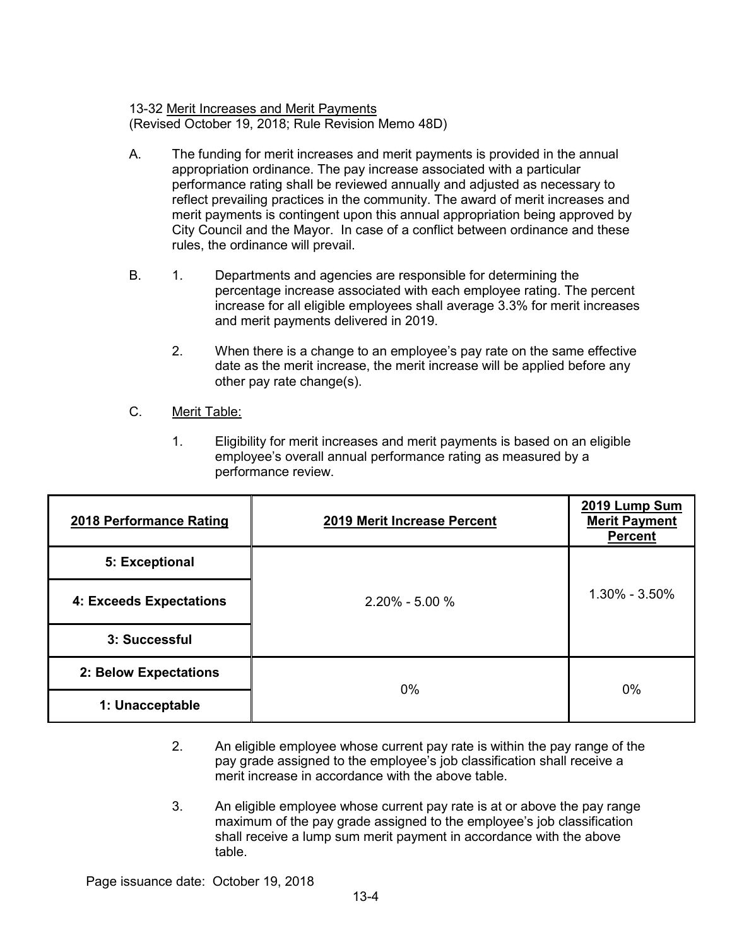13-32 Merit Increases and Merit Payments (Revised October 19, 2018; Rule Revision Memo 48D)

- A. The funding for merit increases and merit payments is provided in the annual appropriation ordinance. The pay increase associated with a particular performance rating shall be reviewed annually and adjusted as necessary to reflect prevailing practices in the community. The award of merit increases and merit payments is contingent upon this annual appropriation being approved by City Council and the Mayor. In case of a conflict between ordinance and these rules, the ordinance will prevail.
- B. 1. Departments and agencies are responsible for determining the percentage increase associated with each employee rating. The percent increase for all eligible employees shall average 3.3% for merit increases and merit payments delivered in 2019.
	- 2. When there is a change to an employee's pay rate on the same effective date as the merit increase, the merit increase will be applied before any other pay rate change(s).

### C. Merit Table:

1. Eligibility for merit increases and merit payments is based on an eligible employee's overall annual performance rating as measured by a performance review.

| 2018 Performance Rating | 2019 Merit Increase Percent | 2019 Lump Sum<br><b>Merit Payment</b><br><b>Percent</b> |
|-------------------------|-----------------------------|---------------------------------------------------------|
| 5: Exceptional          |                             |                                                         |
| 4: Exceeds Expectations | $2.20\% - 5.00\%$           | $1.30\% - 3.50\%$                                       |
| 3: Successful           |                             |                                                         |
| 2: Below Expectations   | $0\%$                       | $0\%$                                                   |
| 1: Unacceptable         |                             |                                                         |

- 2. An eligible employee whose current pay rate is within the pay range of the pay grade assigned to the employee's job classification shall receive a merit increase in accordance with the above table.
- 3. An eligible employee whose current pay rate is at or above the pay range maximum of the pay grade assigned to the employee's job classification shall receive a lump sum merit payment in accordance with the above table.

Page issuance date: October 19, 2018